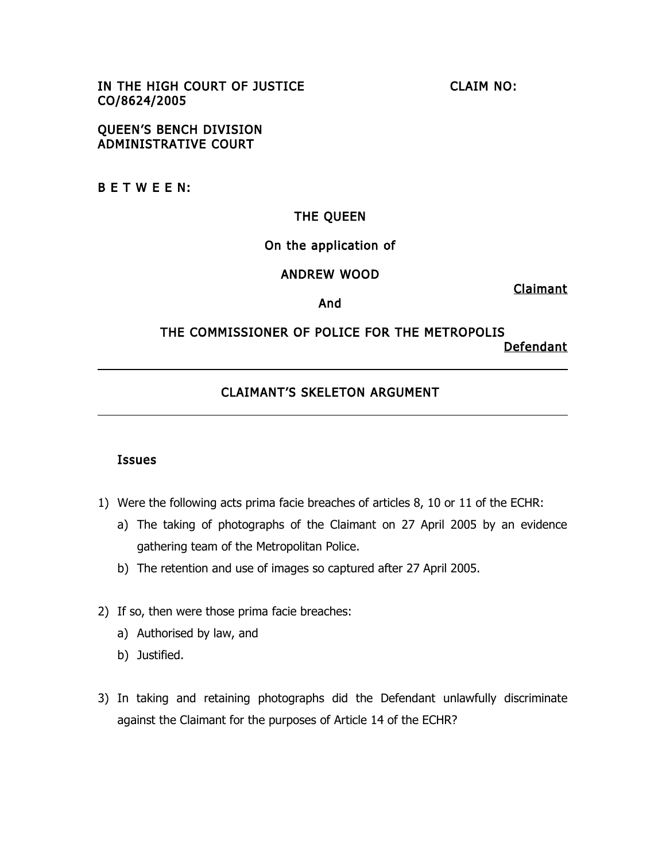QUEEN'S BENCH DIVISION ADMINISTRATIVE COURT

B E T W E E N:

#### THE QUEEN

#### On the application of

#### ANDREW WOOD

And

Claimant

# THE COMMISSIONER OF POLICE FOR THE METROPOLIS

Defendant

#### CLAIMANT'S SKELETON ARGUMENT

#### Issues

- 1) Were the following acts prima facie breaches of articles 8, 10 or 11 of the ECHR:
	- a) The taking of photographs of the Claimant on 27 April 2005 by an evidence gathering team of the Metropolitan Police.
	- b) The retention and use of images so captured after 27 April 2005.
- 2) If so, then were those prima facie breaches:
	- a) Authorised by law, and
	- b) Justified.
- 3) In taking and retaining photographs did the Defendant unlawfully discriminate against the Claimant for the purposes of Article 14 of the ECHR?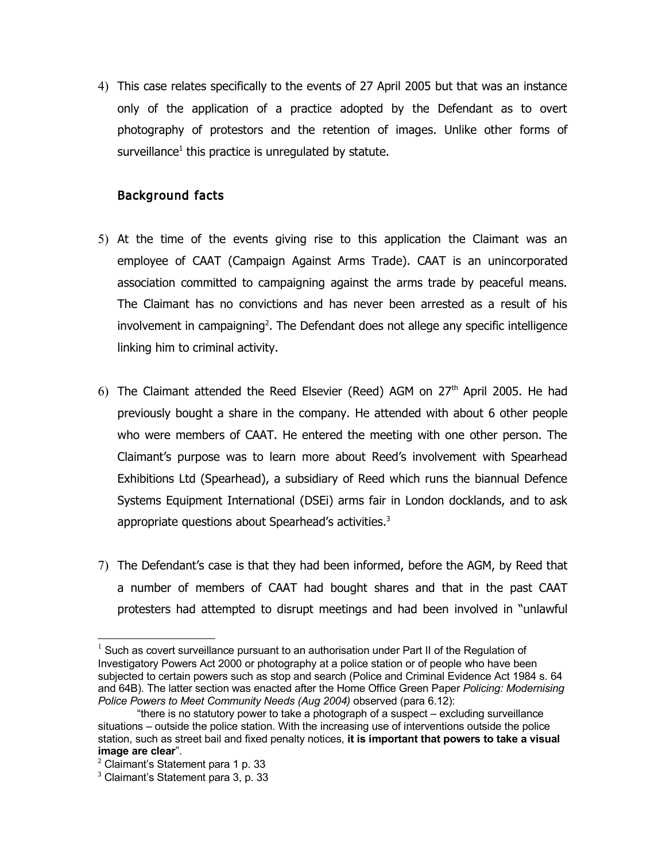4) This case relates specifically to the events of 27 April 2005 but that was an instance only of the application of a practice adopted by the Defendant as to overt photography of protestors and the retention of images. Unlike other forms of surveillance $^1$  $^1$  this practice is unregulated by statute.

## Background facts

- 5) At the time of the events giving rise to this application the Claimant was an employee of CAAT (Campaign Against Arms Trade). CAAT is an unincorporated association committed to campaigning against the arms trade by peaceful means. The Claimant has no convictions and has never been arrested as a result of his involvement in campaigning<sup>[2](#page-1-1)</sup>. The Defendant does not allege any specific intelligence linking him to criminal activity.
- 6) The Claimant attended the Reed Elsevier (Reed) AGM on  $27<sup>th</sup>$  April 2005. He had previously bought a share in the company. He attended with about 6 other people who were members of CAAT. He entered the meeting with one other person. The Claimant's purpose was to learn more about Reed's involvement with Spearhead Exhibitions Ltd (Spearhead), a subsidiary of Reed which runs the biannual Defence Systems Equipment International (DSEi) arms fair in London docklands, and to ask appropriate questions about Spearhead's activities.<sup>[3](#page-1-2)</sup>
- 7) The Defendant's case is that they had been informed, before the AGM, by Reed that a number of members of CAAT had bought shares and that in the past CAAT protesters had attempted to disrupt meetings and had been involved in "unlawful

<span id="page-1-0"></span> $<sup>1</sup>$  Such as covert surveillance pursuant to an authorisation under Part II of the Regulation of</sup> Investigatory Powers Act 2000 or photography at a police station or of people who have been subjected to certain powers such as stop and search (Police and Criminal Evidence Act 1984 s. 64 and 64B). The latter section was enacted after the Home Office Green Paper *Policing: Modernising Police Powers to Meet Community Needs (Aug 2004)* observed (para 6.12):

<sup>&</sup>quot;there is no statutory power to take a photograph of a suspect – excluding surveillance situations – outside the police station. With the increasing use of interventions outside the police station, such as street bail and fixed penalty notices, **it is important that powers to take a visual image are clear**".

<span id="page-1-1"></span><sup>&</sup>lt;sup>2</sup> Claimant's Statement para 1 p. 33

<span id="page-1-2"></span><sup>&</sup>lt;sup>3</sup> Claimant's Statement para 3, p. 33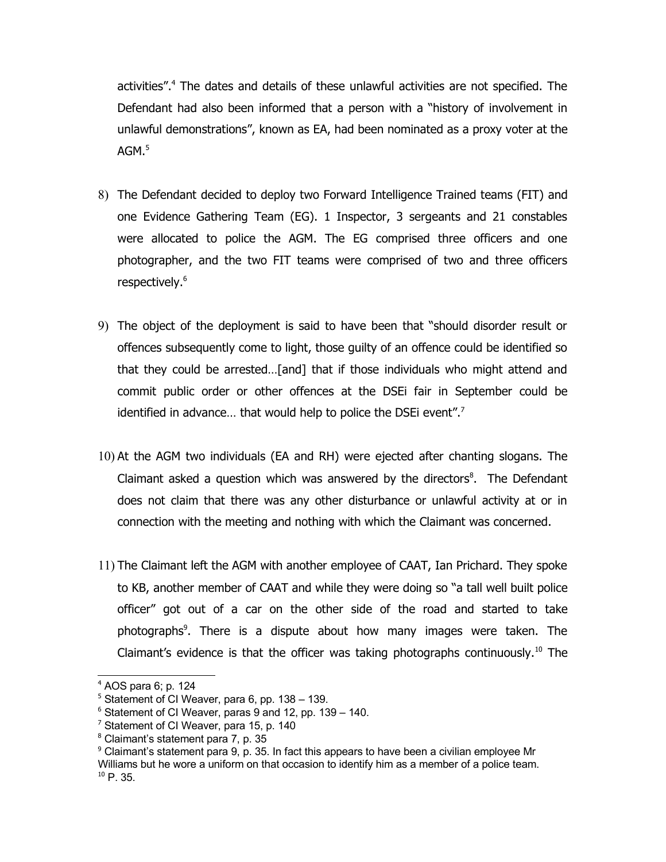activities".<sup>[4](#page-2-0)</sup> The dates and details of these unlawful activities are not specified. The Defendant had also been informed that a person with a "history of involvement in unlawful demonstrations", known as EA, had been nominated as a proxy voter at the AGM. $^5\,$  $^5\,$  $^5\,$ 

- 8) The Defendant decided to deploy two Forward Intelligence Trained teams (FIT) and one Evidence Gathering Team (EG). 1 Inspector, 3 sergeants and 21 constables were allocated to police the AGM. The EG comprised three officers and one photographer, and the two FIT teams were comprised of two and three officers respectively.<sup>[6](#page-2-2)</sup>
- 9) The object of the deployment is said to have been that "should disorder result or offences subsequently come to light, those guilty of an offence could be identified so that they could be arrested…[and] that if those individuals who might attend and commit public order or other offences at the DSEi fair in September could be identified in advance... that would help to police the DSEi event".<sup>[7](#page-2-3)</sup>
- 10) At the AGM two individuals (EA and RH) were ejected after chanting slogans. The Claimant asked a question which was answered by the directors $8$ . The Defendant does not claim that there was any other disturbance or unlawful activity at or in connection with the meeting and nothing with which the Claimant was concerned.
- 11) The Claimant left the AGM with another employee of CAAT, Ian Prichard. They spoke to KB, another member of CAAT and while they were doing so "a tall well built police officer" got out of a car on the other side of the road and started to take photographs<sup>[9](#page-2-5)</sup>. There is a dispute about how many images were taken. The Claimant's evidence is that the officer was taking photographs continuously.<sup>[10](#page-2-6)</sup> The

<span id="page-2-0"></span> $4$  AOS para 6; p. 124

<span id="page-2-1"></span><sup>&</sup>lt;sup>5</sup> Statement of CI Weaver, para 6, pp. 138 – 139.

<span id="page-2-2"></span> $6$  Statement of CI Weaver, paras 9 and 12, pp. 139 – 140.

<span id="page-2-3"></span><sup>&</sup>lt;sup>7</sup> Statement of CI Weaver, para 15, p. 140

<span id="page-2-4"></span><sup>&</sup>lt;sup>8</sup> Claimant's statement para 7, p. 35

<span id="page-2-6"></span><span id="page-2-5"></span> $9$  Claimant's statement para 9, p. 35. In fact this appears to have been a civilian employee Mr Williams but he wore a uniform on that occasion to identify him as a member of a police team.  $10$  P. 35.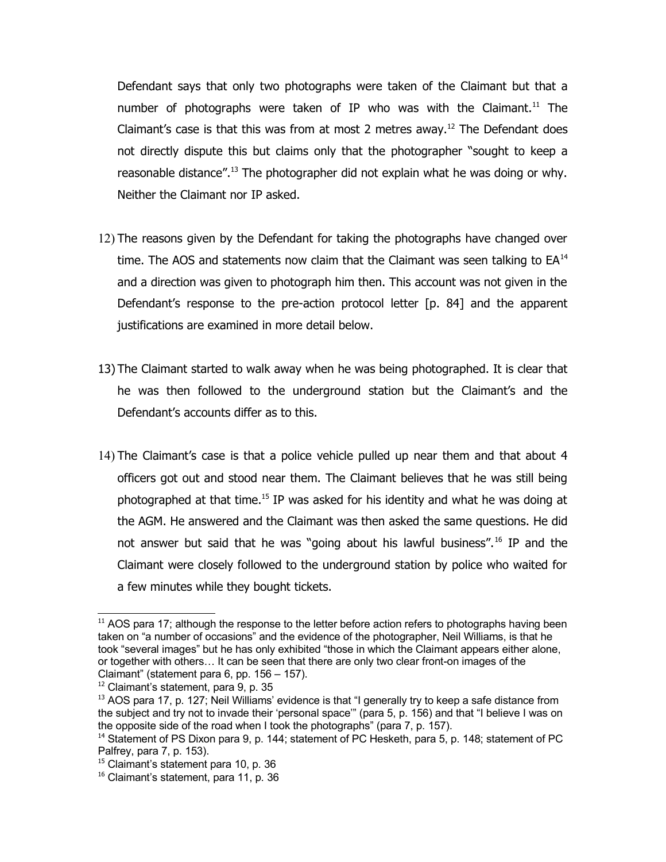Defendant says that only two photographs were taken of the Claimant but that a number of photographs were taken of IP who was with the Claimant.<sup>[11](#page-3-0)</sup> The Claimant's case is that this was from at most 2 metres away.<sup>[12](#page-3-1)</sup> The Defendant does not directly dispute this but claims only that the photographer "sought to keep a reasonable distance".<sup>[13](#page-3-2)</sup> The photographer did not explain what he was doing or why. Neither the Claimant nor IP asked.

- 12) The reasons given by the Defendant for taking the photographs have changed over time. The AOS and statements now claim that the Claimant was seen talking to  $EA^{14}$  $EA^{14}$  $EA^{14}$ and a direction was given to photograph him then. This account was not given in the Defendant's response to the pre-action protocol letter [p. 84] and the apparent justifications are examined in more detail below.
- 13) The Claimant started to walk away when he was being photographed. It is clear that he was then followed to the underground station but the Claimant's and the Defendant's accounts differ as to this.
- 14) The Claimant's case is that a police vehicle pulled up near them and that about 4 officers got out and stood near them. The Claimant believes that he was still being photographed at that time.<sup>[15](#page-3-4)</sup> IP was asked for his identity and what he was doing at the AGM. He answered and the Claimant was then asked the same questions. He did not answer but said that he was "going about his lawful business".<sup>[16](#page-3-5)</sup> IP and the Claimant were closely followed to the underground station by police who waited for a few minutes while they bought tickets.

<span id="page-3-0"></span> $11$  AOS para 17; although the response to the letter before action refers to photographs having been taken on "a number of occasions" and the evidence of the photographer, Neil Williams, is that he took "several images" but he has only exhibited "those in which the Claimant appears either alone, or together with others… It can be seen that there are only two clear front-on images of the Claimant" (statement para 6, pp. 156 – 157).

<span id="page-3-1"></span><sup>&</sup>lt;sup>12</sup> Claimant's statement, para 9, p. 35

<span id="page-3-2"></span> $13$  AOS para 17, p. 127; Neil Williams' evidence is that "I generally try to keep a safe distance from the subject and try not to invade their 'personal space'" (para 5, p. 156) and that "I believe I was on the opposite side of the road when I took the photographs" (para 7, p. 157).

<span id="page-3-3"></span><sup>&</sup>lt;sup>14</sup> Statement of PS Dixon para 9, p. 144; statement of PC Hesketh, para 5, p. 148; statement of PC Palfrey, para 7, p. 153).

<span id="page-3-4"></span><sup>&</sup>lt;sup>15</sup> Claimant's statement para 10, p. 36

<span id="page-3-5"></span><sup>&</sup>lt;sup>16</sup> Claimant's statement, para 11, p. 36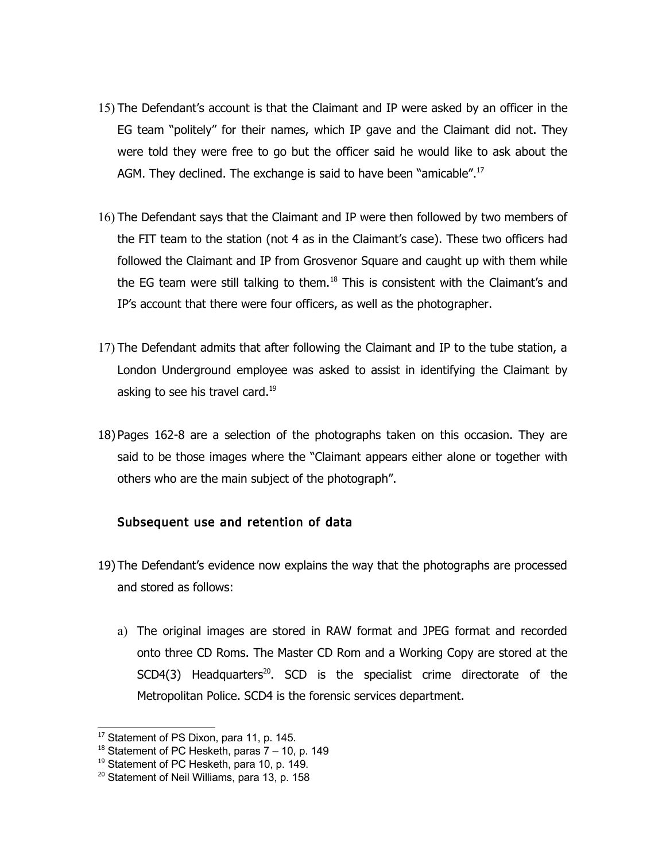- 15) The Defendant's account is that the Claimant and IP were asked by an officer in the EG team "politely" for their names, which IP gave and the Claimant did not. They were told they were free to go but the officer said he would like to ask about the AGM. They declined. The exchange is said to have been "amicable".<sup>[17](#page-4-0)</sup>
- 16) The Defendant says that the Claimant and IP were then followed by two members of the FIT team to the station (not 4 as in the Claimant's case). These two officers had followed the Claimant and IP from Grosvenor Square and caught up with them while the EG team were still talking to them.<sup>[18](#page-4-1)</sup> This is consistent with the Claimant's and IP's account that there were four officers, as well as the photographer.
- 17) The Defendant admits that after following the Claimant and IP to the tube station, a London Underground employee was asked to assist in identifying the Claimant by asking to see his travel card.<sup>[19](#page-4-2)</sup>
- 18) Pages 162-8 are a selection of the photographs taken on this occasion. They are said to be those images where the "Claimant appears either alone or together with others who are the main subject of the photograph".

## Subsequent use and retention of data

- 19) The Defendant's evidence now explains the way that the photographs are processed and stored as follows:
	- a) The original images are stored in RAW format and JPEG format and recorded onto three CD Roms. The Master CD Rom and a Working Copy are stored at the  $SCD4(3)$  Headquarters<sup>[20](#page-4-3)</sup>. SCD is the specialist crime directorate of the Metropolitan Police. SCD4 is the forensic services department.

<span id="page-4-0"></span><sup>&</sup>lt;sup>17</sup> Statement of PS Dixon, para 11, p. 145.

<span id="page-4-1"></span> $18$  Statement of PC Hesketh, paras  $7 - 10$ , p. 149

<span id="page-4-2"></span><sup>&</sup>lt;sup>19</sup> Statement of PC Hesketh, para 10, p. 149.

<span id="page-4-3"></span><sup>&</sup>lt;sup>20</sup> Statement of Neil Williams, para 13, p. 158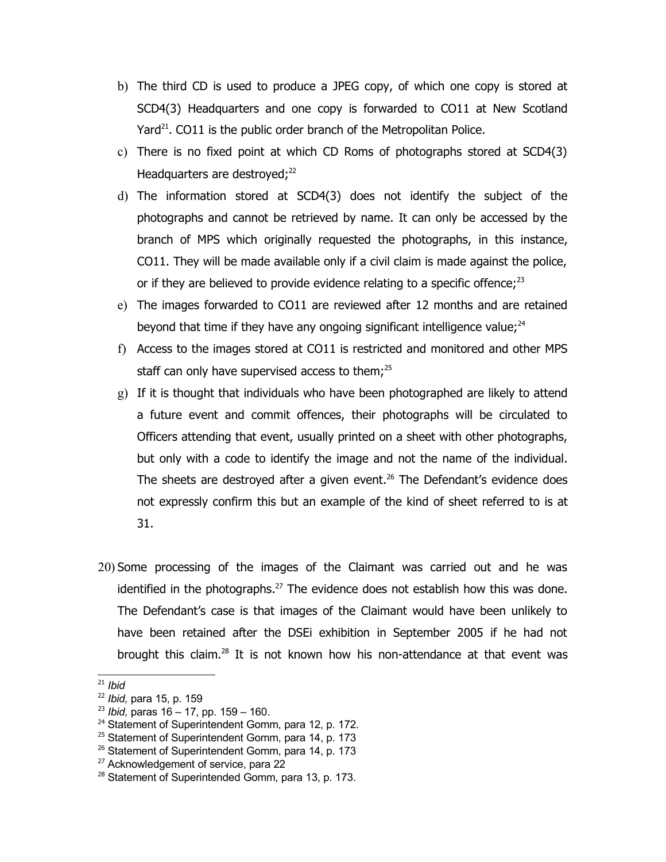- b) The third CD is used to produce a JPEG copy, of which one copy is stored at SCD4(3) Headquarters and one copy is forwarded to CO11 at New Scotland Yard<sup>[21](#page-5-0)</sup>. CO11 is the public order branch of the Metropolitan Police.
- c) There is no fixed point at which CD Roms of photographs stored at SCD4(3) Headquarters are destroyed; $^{22}$  $^{22}$  $^{22}$
- d) The information stored at SCD4(3) does not identify the subject of the photographs and cannot be retrieved by name. It can only be accessed by the branch of MPS which originally requested the photographs, in this instance, CO11. They will be made available only if a civil claim is made against the police, or if they are believed to provide evidence relating to a specific offence; $^{23}$  $^{23}$  $^{23}$
- e) The images forwarded to CO11 are reviewed after 12 months and are retained beyond that time if they have any ongoing significant intelligence value; $^{24}$  $^{24}$  $^{24}$
- f) Access to the images stored at CO11 is restricted and monitored and other MPS staff can only have supervised access to them; $^{25}$  $^{25}$  $^{25}$
- g) If it is thought that individuals who have been photographed are likely to attend a future event and commit offences, their photographs will be circulated to Officers attending that event, usually printed on a sheet with other photographs, but only with a code to identify the image and not the name of the individual. The sheets are destroyed after a given event. $26$  The Defendant's evidence does not expressly confirm this but an example of the kind of sheet referred to is at 31.
- 20) Some processing of the images of the Claimant was carried out and he was identified in the photographs. $^{27}$  $^{27}$  $^{27}$  The evidence does not establish how this was done. The Defendant's case is that images of the Claimant would have been unlikely to have been retained after the DSEi exhibition in September 2005 if he had not brought this claim.<sup>[28](#page-5-7)</sup> It is not known how his non-attendance at that event was

<span id="page-5-0"></span> $21$  *Ibid* 

<span id="page-5-1"></span><sup>22</sup> *Ibid,* para 15, p. 159

<span id="page-5-2"></span><sup>23</sup> *Ibid,* paras 16 – 17, pp. 159 – 160.

<span id="page-5-3"></span><sup>&</sup>lt;sup>24</sup> Statement of Superintendent Gomm, para 12, p. 172.

<span id="page-5-4"></span><sup>&</sup>lt;sup>25</sup> Statement of Superintendent Gomm, para 14, p. 173

<span id="page-5-5"></span><sup>&</sup>lt;sup>26</sup> Statement of Superintendent Gomm, para 14, p. 173

<span id="page-5-6"></span><sup>&</sup>lt;sup>27</sup> Acknowledgement of service, para 22

<span id="page-5-7"></span><sup>&</sup>lt;sup>28</sup> Statement of Superintended Gomm, para 13, p. 173.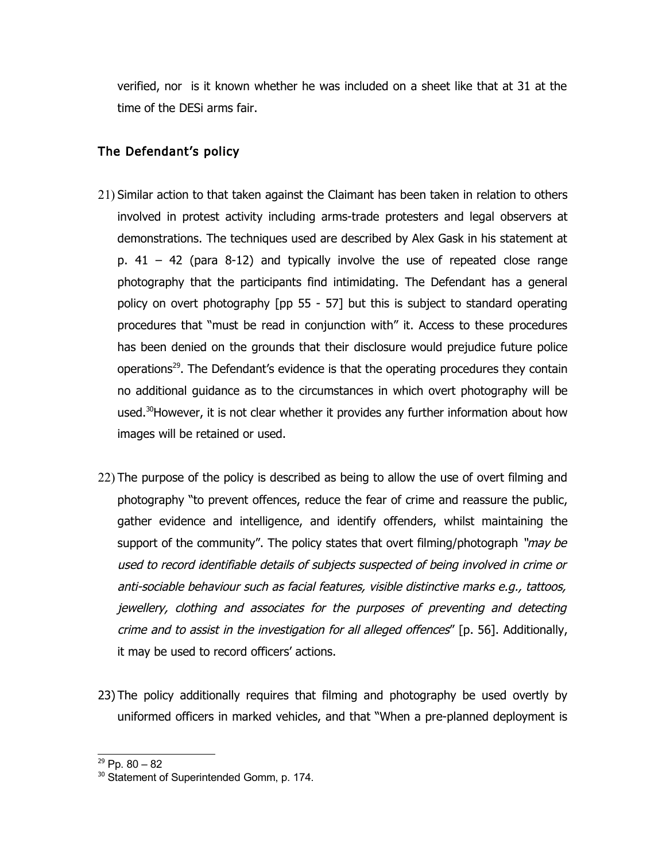verified, nor is it known whether he was included on a sheet like that at 31 at the time of the DESi arms fair.

## The Defendant's policy

- 21) Similar action to that taken against the Claimant has been taken in relation to others involved in protest activity including arms-trade protesters and legal observers at demonstrations. The techniques used are described by Alex Gask in his statement at p.  $41 - 42$  (para 8-12) and typically involve the use of repeated close range photography that the participants find intimidating. The Defendant has a general policy on overt photography [pp 55 - 57] but this is subject to standard operating procedures that "must be read in conjunction with" it. Access to these procedures has been denied on the grounds that their disclosure would prejudice future police operations<sup>[29](#page-6-0)</sup>. The Defendant's evidence is that the operating procedures they contain no additional guidance as to the circumstances in which overt photography will be used.<sup>[30](#page-6-1)</sup>However, it is not clear whether it provides any further information about how images will be retained or used.
- 22) The purpose of the policy is described as being to allow the use of overt filming and photography "to prevent offences, reduce the fear of crime and reassure the public, gather evidence and intelligence, and identify offenders, whilst maintaining the support of the community". The policy states that overt filming/photograph "*may be* used to record identifiable details of subjects suspected of being involved in crime or anti-sociable behaviour such as facial features, visible distinctive marks e.g., tattoos, jewellery, clothing and associates for the purposes of preventing and detecting crime and to assist in the investigation for all alleged offences" [p. 56]. Additionally, it may be used to record officers' actions.
- 23) The policy additionally requires that filming and photography be used overtly by uniformed officers in marked vehicles, and that "When a pre-planned deployment is

<span id="page-6-0"></span> $29$  Pp. 80 – 82

<span id="page-6-1"></span><sup>&</sup>lt;sup>30</sup> Statement of Superintended Gomm, p. 174.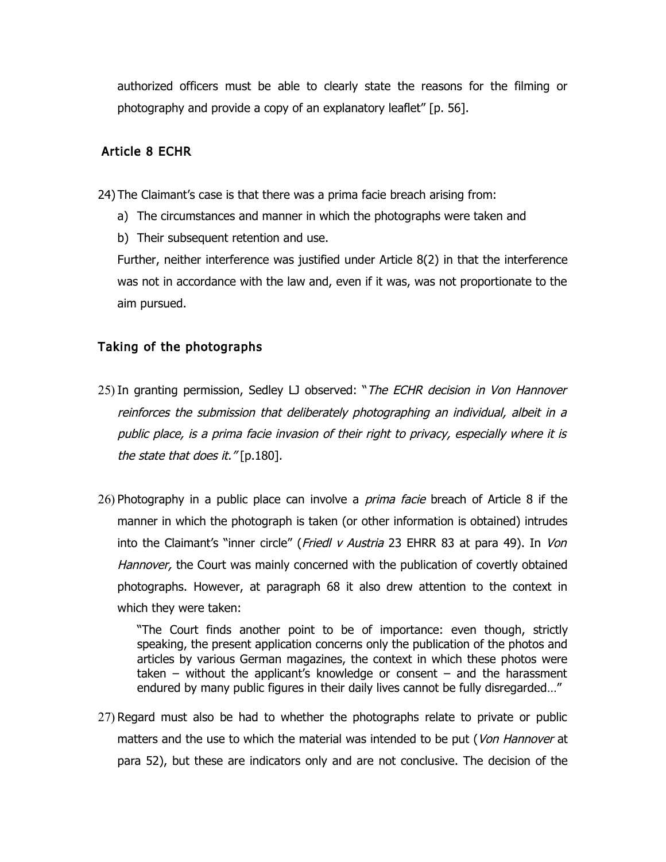authorized officers must be able to clearly state the reasons for the filming or photography and provide a copy of an explanatory leaflet" [p. 56].

#### Article 8 ECHR

24) The Claimant's case is that there was a prima facie breach arising from:

- a) The circumstances and manner in which the photographs were taken and
- b) Their subsequent retention and use.

Further, neither interference was justified under Article 8(2) in that the interference was not in accordance with the law and, even if it was, was not proportionate to the aim pursued.

#### Taking of the photographs

- 25) In granting permission, Sedley LJ observed: "The ECHR decision in Von Hannover reinforces the submission that deliberately photographing an individual, albeit in a public place, is a prima facie invasion of their right to privacy, especially where it is the state that does it." [p.180].
- 26) Photography in a public place can involve a *prima facie* breach of Article 8 if the manner in which the photograph is taken (or other information is obtained) intrudes into the Claimant's "inner circle" (*Friedl v Austria* 23 EHRR 83 at para 49). In *Von* Hannover, the Court was mainly concerned with the publication of covertly obtained photographs. However, at paragraph 68 it also drew attention to the context in which they were taken:

"The Court finds another point to be of importance: even though, strictly speaking, the present application concerns only the publication of the photos and articles by various German magazines, the context in which these photos were taken – without the applicant's knowledge or consent – and the harassment endured by many public figures in their daily lives cannot be fully disregarded…"

27) Regard must also be had to whether the photographs relate to private or public matters and the use to which the material was intended to be put (*Von Hannover* at para 52), but these are indicators only and are not conclusive. The decision of the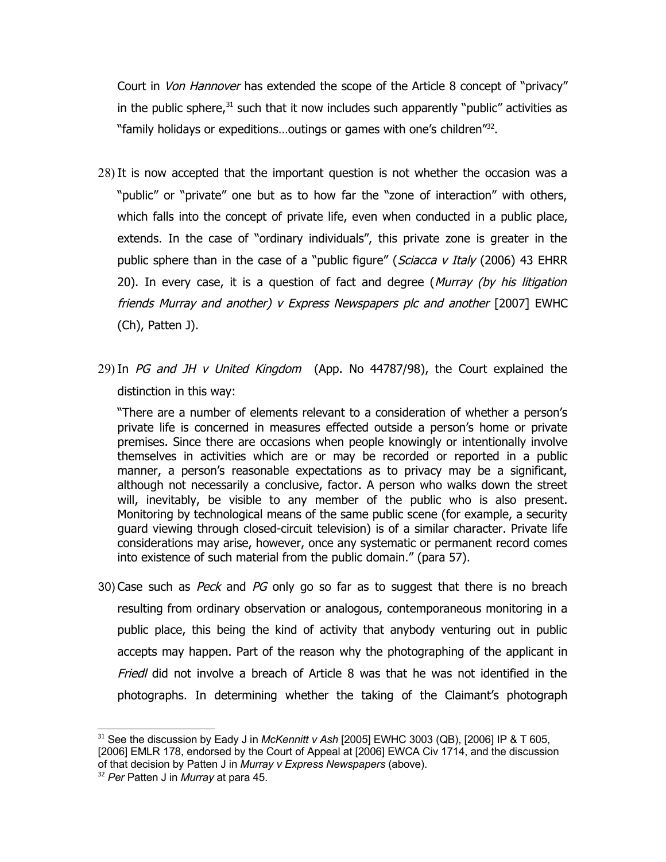Court in *Von Hannover* has extended the scope of the Article 8 concept of "privacy" in the public sphere, $31$  such that it now includes such apparently "public" activities as "family holidays or expeditions...outings or games with one's children" $^{32}$  $^{32}$  $^{32}$ .

- 28) It is now accepted that the important question is not whether the occasion was a "public" or "private" one but as to how far the "zone of interaction" with others, which falls into the concept of private life, even when conducted in a public place, extends. In the case of "ordinary individuals", this private zone is greater in the public sphere than in the case of a "public figure" (Sciacca v Italy (2006) 43 EHRR 20). In every case, it is a question of fact and degree (Murray (by his litigation friends Murray and another) v Express Newspapers plc and another [2007] EWHC (Ch), Patten J).
- 29) In PG and JH v United Kingdom (App. No 44787/98), the Court explained the distinction in this way:

"There are a number of elements relevant to a consideration of whether a person's private life is concerned in measures effected outside a person's home or private premises. Since there are occasions when people knowingly or intentionally involve themselves in activities which are or may be recorded or reported in a public manner, a person's reasonable expectations as to privacy may be a significant, although not necessarily a conclusive, factor. A person who walks down the street will, inevitably, be visible to any member of the public who is also present. Monitoring by technological means of the same public scene (for example, a security guard viewing through closed-circuit television) is of a similar character. Private life considerations may arise, however, once any systematic or permanent record comes into existence of such material from the public domain." (para 57).

30) Case such as Peck and PG only go so far as to suggest that there is no breach resulting from ordinary observation or analogous, contemporaneous monitoring in a public place, this being the kind of activity that anybody venturing out in public accepts may happen. Part of the reason why the photographing of the applicant in Friedl did not involve a breach of Article 8 was that he was not identified in the photographs. In determining whether the taking of the Claimant's photograph

<span id="page-8-0"></span><sup>31</sup> See the discussion by Eady J in *McKennitt v Ash* [2005] EWHC 3003 (QB), [2006] IP & T 605, [2006] EMLR 178, endorsed by the Court of Appeal at [2006] EWCA Civ 1714, and the discussion of that decision by Patten J in *Murray v Express Newspapers* (above).

<span id="page-8-1"></span><sup>32</sup> *Per* Patten J in *Murray* at para 45.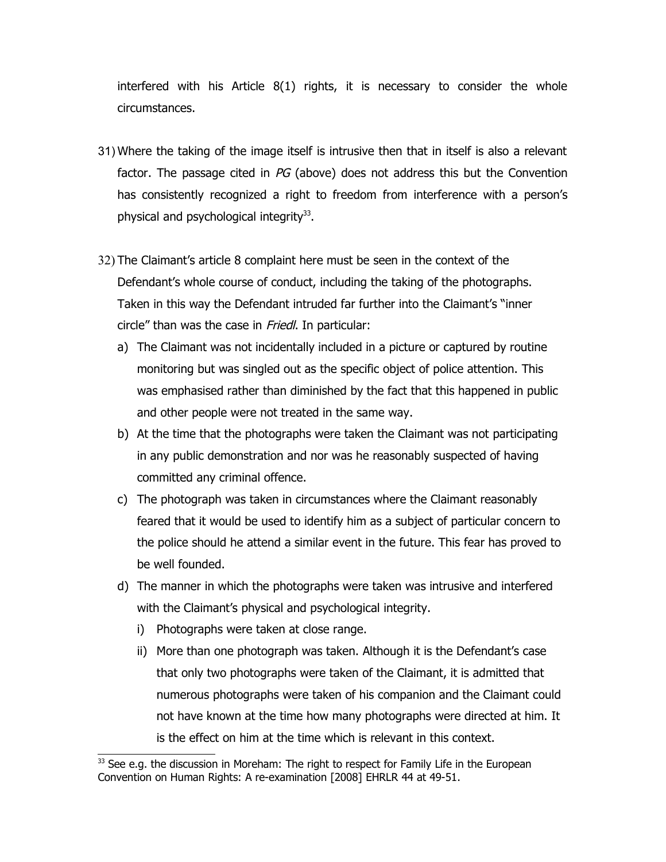interfered with his Article 8(1) rights, it is necessary to consider the whole circumstances.

- 31) Where the taking of the image itself is intrusive then that in itself is also a relevant factor. The passage cited in  $PG$  (above) does not address this but the Convention has consistently recognized a right to freedom from interference with a person's physical and psychological integrity<sup>[33](#page-9-0)</sup>.
- 32) The Claimant's article 8 complaint here must be seen in the context of the Defendant's whole course of conduct, including the taking of the photographs. Taken in this way the Defendant intruded far further into the Claimant's "inner circle" than was the case in Fried. In particular:
	- a) The Claimant was not incidentally included in a picture or captured by routine monitoring but was singled out as the specific object of police attention. This was emphasised rather than diminished by the fact that this happened in public and other people were not treated in the same way.
	- b) At the time that the photographs were taken the Claimant was not participating in any public demonstration and nor was he reasonably suspected of having committed any criminal offence.
	- c) The photograph was taken in circumstances where the Claimant reasonably feared that it would be used to identify him as a subject of particular concern to the police should he attend a similar event in the future. This fear has proved to be well founded.
	- d) The manner in which the photographs were taken was intrusive and interfered with the Claimant's physical and psychological integrity.
		- i) Photographs were taken at close range.
		- ii) More than one photograph was taken. Although it is the Defendant's case that only two photographs were taken of the Claimant, it is admitted that numerous photographs were taken of his companion and the Claimant could not have known at the time how many photographs were directed at him. It is the effect on him at the time which is relevant in this context.

<span id="page-9-0"></span><sup>&</sup>lt;sup>33</sup> See e.g. the discussion in Moreham: The right to respect for Family Life in the European Convention on Human Rights: A re-examination [2008] EHRLR 44 at 49-51.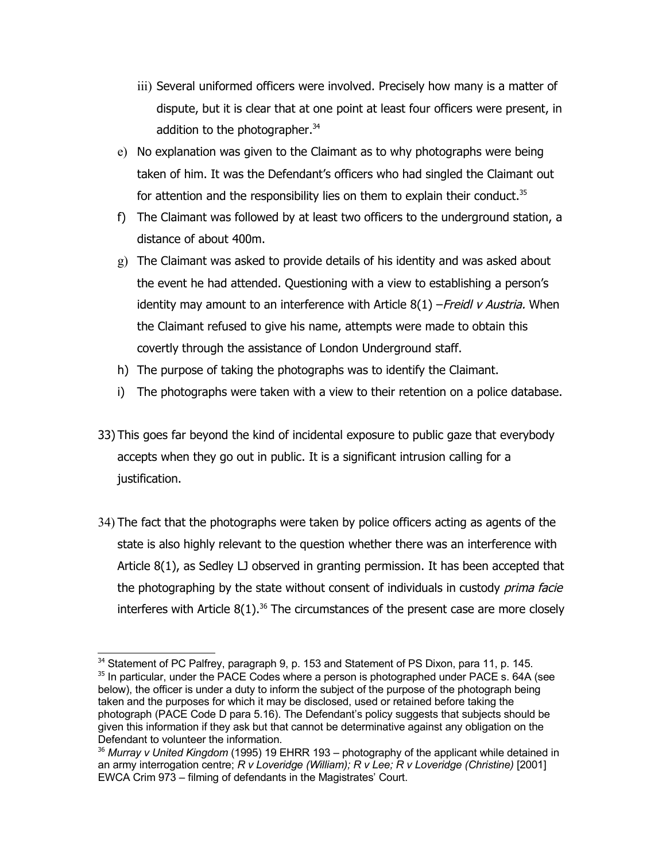- iii) Several uniformed officers were involved. Precisely how many is a matter of dispute, but it is clear that at one point at least four officers were present, in addition to the photographer.<sup>[34](#page-10-0)</sup>
- e) No explanation was given to the Claimant as to why photographs were being taken of him. It was the Defendant's officers who had singled the Claimant out for attention and the responsibility lies on them to explain their conduct. $35$
- f) The Claimant was followed by at least two officers to the underground station, a distance of about 400m.
- g) The Claimant was asked to provide details of his identity and was asked about the event he had attended. Questioning with a view to establishing a person's identity may amount to an interference with Article  $8(1)$  – *Freidl v Austria*. When the Claimant refused to give his name, attempts were made to obtain this covertly through the assistance of London Underground staff.
- h) The purpose of taking the photographs was to identify the Claimant.
- i) The photographs were taken with a view to their retention on a police database.
- 33) This goes far beyond the kind of incidental exposure to public gaze that everybody accepts when they go out in public. It is a significant intrusion calling for a justification.
- 34) The fact that the photographs were taken by police officers acting as agents of the state is also highly relevant to the question whether there was an interference with Article  $8(1)$ , as Sedley LJ observed in granting permission. It has been accepted that the photographing by the state without consent of individuals in custody *prima facie* interferes with Article  $8(1).^{36}$  $8(1).^{36}$  $8(1).^{36}$  The circumstances of the present case are more closely

<span id="page-10-0"></span><sup>&</sup>lt;sup>34</sup> Statement of PC Palfrey, paragraph 9, p. 153 and Statement of PS Dixon, para 11, p. 145.

<span id="page-10-1"></span> $35$  In particular, under the PACE Codes where a person is photographed under PACE s. 64A (see below), the officer is under a duty to inform the subject of the purpose of the photograph being taken and the purposes for which it may be disclosed, used or retained before taking the photograph (PACE Code D para 5.16). The Defendant's policy suggests that subjects should be given this information if they ask but that cannot be determinative against any obligation on the Defendant to volunteer the information.

<span id="page-10-2"></span><sup>36</sup> *Murray v United Kingdom* (1995) 19 EHRR 193 – photography of the applicant while detained in an army interrogation centre; *R v Loveridge (William); R v Lee; R v Loveridge (Christine)* [2001] EWCA Crim 973 – filming of defendants in the Magistrates' Court.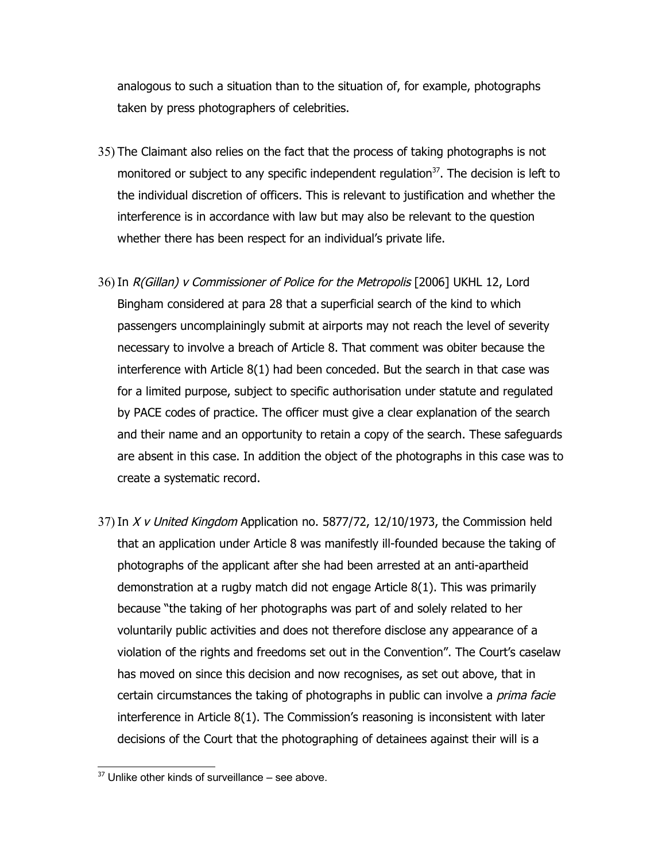analogous to such a situation than to the situation of, for example, photographs taken by press photographers of celebrities.

- 35) The Claimant also relies on the fact that the process of taking photographs is not monitored or subject to any specific independent regulation $37$ . The decision is left to the individual discretion of officers. This is relevant to justification and whether the interference is in accordance with law but may also be relevant to the question whether there has been respect for an individual's private life.
- 36) In R(Gillan) v Commissioner of Police for the Metropolis [2006] UKHL 12, Lord Bingham considered at para 28 that a superficial search of the kind to which passengers uncomplainingly submit at airports may not reach the level of severity necessary to involve a breach of Article 8. That comment was obiter because the interference with Article 8(1) had been conceded. But the search in that case was for a limited purpose, subject to specific authorisation under statute and regulated by PACE codes of practice. The officer must give a clear explanation of the search and their name and an opportunity to retain a copy of the search. These safeguards are absent in this case. In addition the object of the photographs in this case was to create a systematic record.
- 37) In  $X$  v United Kingdom Application no. 5877/72, 12/10/1973, the Commission held that an application under Article 8 was manifestly ill-founded because the taking of photographs of the applicant after she had been arrested at an anti-apartheid demonstration at a rugby match did not engage Article 8(1). This was primarily because "the taking of her photographs was part of and solely related to her voluntarily public activities and does not therefore disclose any appearance of a violation of the rights and freedoms set out in the Convention". The Court's caselaw has moved on since this decision and now recognises, as set out above, that in certain circumstances the taking of photographs in public can involve a *prima facie* interference in Article 8(1). The Commission's reasoning is inconsistent with later decisions of the Court that the photographing of detainees against their will is a

<span id="page-11-0"></span> $37$  Unlike other kinds of surveillance – see above.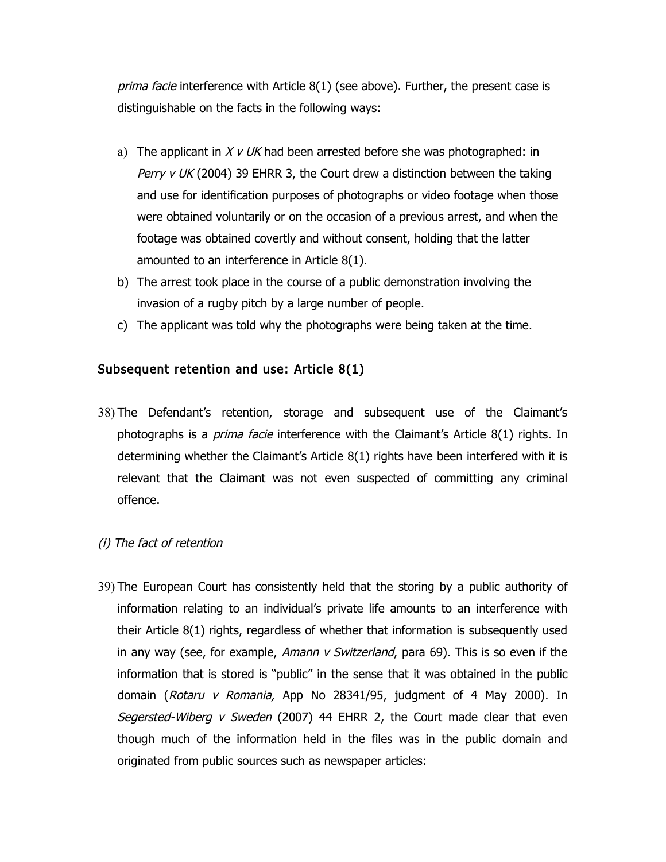prima facie interference with Article 8(1) (see above). Further, the present case is distinguishable on the facts in the following ways:

- a) The applicant in  $X \vee UK$  had been arrested before she was photographed: in Perry  $v$  UK (2004) 39 EHRR 3, the Court drew a distinction between the taking and use for identification purposes of photographs or video footage when those were obtained voluntarily or on the occasion of a previous arrest, and when the footage was obtained covertly and without consent, holding that the latter amounted to an interference in Article 8(1).
- b) The arrest took place in the course of a public demonstration involving the invasion of a rugby pitch by a large number of people.
- c) The applicant was told why the photographs were being taken at the time.

## Subsequent retention and use: Article 8(1)

- 38) The Defendant's retention, storage and subsequent use of the Claimant's photographs is a *prima facie* interference with the Claimant's Article 8(1) rights. In determining whether the Claimant's Article 8(1) rights have been interfered with it is relevant that the Claimant was not even suspected of committing any criminal offence.
- (i) The fact of retention
- 39) The European Court has consistently held that the storing by a public authority of information relating to an individual's private life amounts to an interference with their Article 8(1) rights, regardless of whether that information is subsequently used in any way (see, for example, Amann v Switzerland, para 69). This is so even if the information that is stored is "public" in the sense that it was obtained in the public domain (Rotaru v Romania, App No 28341/95, judgment of 4 May 2000). In Segersted-Wiberg v Sweden (2007) 44 EHRR 2, the Court made clear that even though much of the information held in the files was in the public domain and originated from public sources such as newspaper articles: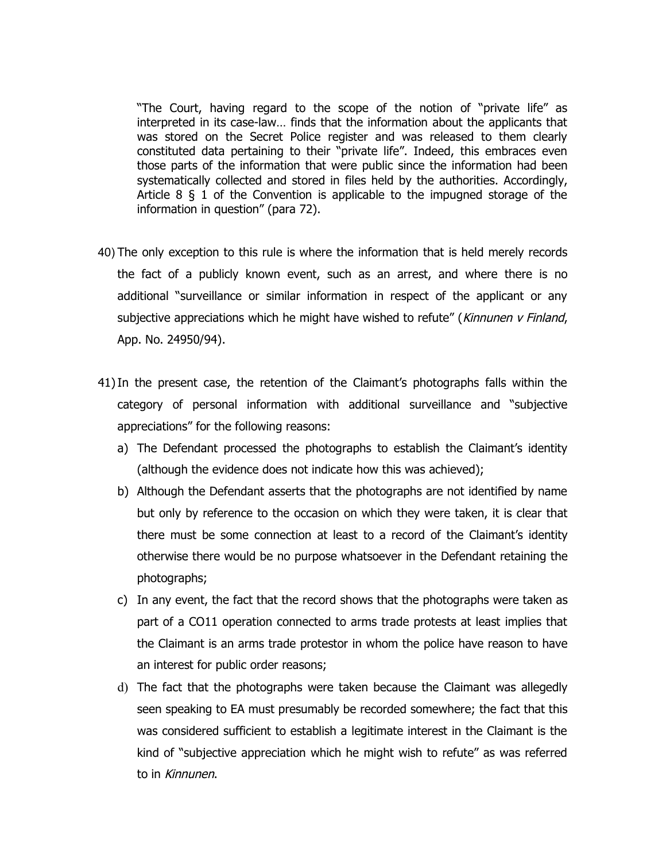"The Court, having regard to the scope of the notion of "private life" as interpreted in its case-law… finds that the information about the applicants that was stored on the Secret Police register and was released to them clearly constituted data pertaining to their "private life". Indeed, this embraces even those parts of the information that were public since the information had been systematically collected and stored in files held by the authorities. Accordingly, Article 8 § 1 of the Convention is applicable to the impugned storage of the information in question" (para 72).

- 40) The only exception to this rule is where the information that is held merely records the fact of a publicly known event, such as an arrest, and where there is no additional "surveillance or similar information in respect of the applicant or any subjective appreciations which he might have wished to refute" (Kinnunen v Finland, App. No. 24950/94).
- 41)In the present case, the retention of the Claimant's photographs falls within the category of personal information with additional surveillance and "subjective appreciations" for the following reasons:
	- a) The Defendant processed the photographs to establish the Claimant's identity (although the evidence does not indicate how this was achieved);
	- b) Although the Defendant asserts that the photographs are not identified by name but only by reference to the occasion on which they were taken, it is clear that there must be some connection at least to a record of the Claimant's identity otherwise there would be no purpose whatsoever in the Defendant retaining the photographs;
	- c) In any event, the fact that the record shows that the photographs were taken as part of a CO11 operation connected to arms trade protests at least implies that the Claimant is an arms trade protestor in whom the police have reason to have an interest for public order reasons;
	- d) The fact that the photographs were taken because the Claimant was allegedly seen speaking to EA must presumably be recorded somewhere; the fact that this was considered sufficient to establish a legitimate interest in the Claimant is the kind of "subjective appreciation which he might wish to refute" as was referred to in Kinnunen.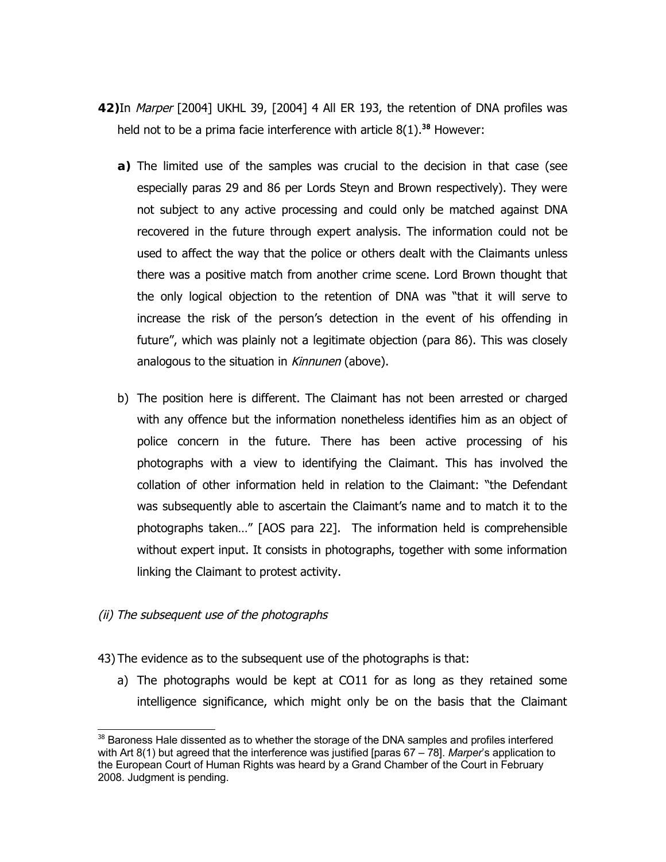- **42)**In Marper [2004] UKHL 39, [2004] 4 All ER 193, the retention of DNA profiles was held not to be a prima facie interference with article  $8(1).$ <sup>[38](#page-14-0)</sup> However:
	- **a)** The limited use of the samples was crucial to the decision in that case (see especially paras 29 and 86 per Lords Steyn and Brown respectively). They were not subject to any active processing and could only be matched against DNA recovered in the future through expert analysis. The information could not be used to affect the way that the police or others dealt with the Claimants unless there was a positive match from another crime scene. Lord Brown thought that the only logical objection to the retention of DNA was "that it will serve to increase the risk of the person's detection in the event of his offending in future", which was plainly not a legitimate objection (para 86). This was closely analogous to the situation in *Kinnunen* (above).
	- b) The position here is different. The Claimant has not been arrested or charged with any offence but the information nonetheless identifies him as an object of police concern in the future. There has been active processing of his photographs with a view to identifying the Claimant. This has involved the collation of other information held in relation to the Claimant: "the Defendant was subsequently able to ascertain the Claimant's name and to match it to the photographs taken…" [AOS para 22]. The information held is comprehensible without expert input. It consists in photographs, together with some information linking the Claimant to protest activity.

#### (ii) The subsequent use of the photographs

- 43) The evidence as to the subsequent use of the photographs is that:
	- a) The photographs would be kept at CO11 for as long as they retained some intelligence significance, which might only be on the basis that the Claimant

<span id="page-14-0"></span><sup>38</sup> Baroness Hale dissented as to whether the storage of the DNA samples and profiles interfered with Art 8(1) but agreed that the interference was justified [paras 67 – 78]. *Marper*'s application to the European Court of Human Rights was heard by a Grand Chamber of the Court in February 2008. Judgment is pending.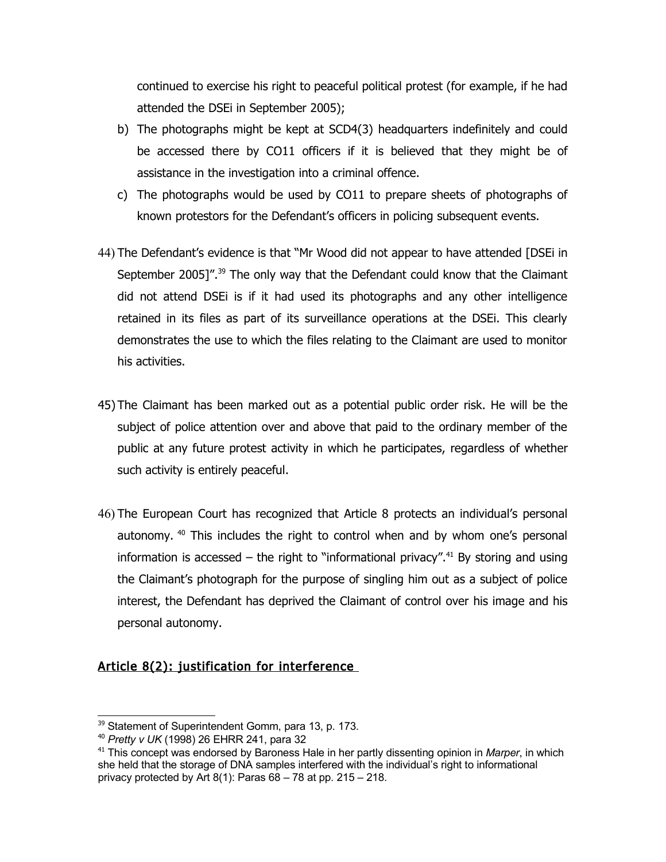continued to exercise his right to peaceful political protest (for example, if he had attended the DSEi in September 2005);

- b) The photographs might be kept at SCD4(3) headquarters indefinitely and could be accessed there by CO11 officers if it is believed that they might be of assistance in the investigation into a criminal offence.
- c) The photographs would be used by CO11 to prepare sheets of photographs of known protestors for the Defendant's officers in policing subsequent events.
- 44) The Defendant's evidence is that "Mr Wood did not appear to have attended [DSEi in September 2005]".<sup>[39](#page-15-0)</sup> The only way that the Defendant could know that the Claimant did not attend DSEi is if it had used its photographs and any other intelligence retained in its files as part of its surveillance operations at the DSEi. This clearly demonstrates the use to which the files relating to the Claimant are used to monitor his activities.
- 45) The Claimant has been marked out as a potential public order risk. He will be the subject of police attention over and above that paid to the ordinary member of the public at any future protest activity in which he participates, regardless of whether such activity is entirely peaceful.
- 46) The European Court has recognized that Article 8 protects an individual's personal autonomy. [40](#page-15-1) This includes the right to control when and by whom one's personal information is accessed – the right to "informational privacy".<sup>[41](#page-15-2)</sup> By storing and using the Claimant's photograph for the purpose of singling him out as a subject of police interest, the Defendant has deprived the Claimant of control over his image and his personal autonomy.

## Article 8(2): justification for interference

<span id="page-15-0"></span><sup>&</sup>lt;sup>39</sup> Statement of Superintendent Gomm, para 13, p. 173.

<span id="page-15-1"></span><sup>40</sup> *Pretty v UK* (1998) 26 EHRR 241, para 32

<span id="page-15-2"></span><sup>41</sup> This concept was endorsed by Baroness Hale in her partly dissenting opinion in *Marper*, in which she held that the storage of DNA samples interfered with the individual's right to informational privacy protected by Art  $8(1)$ : Paras  $68 - 78$  at pp. 215 – 218.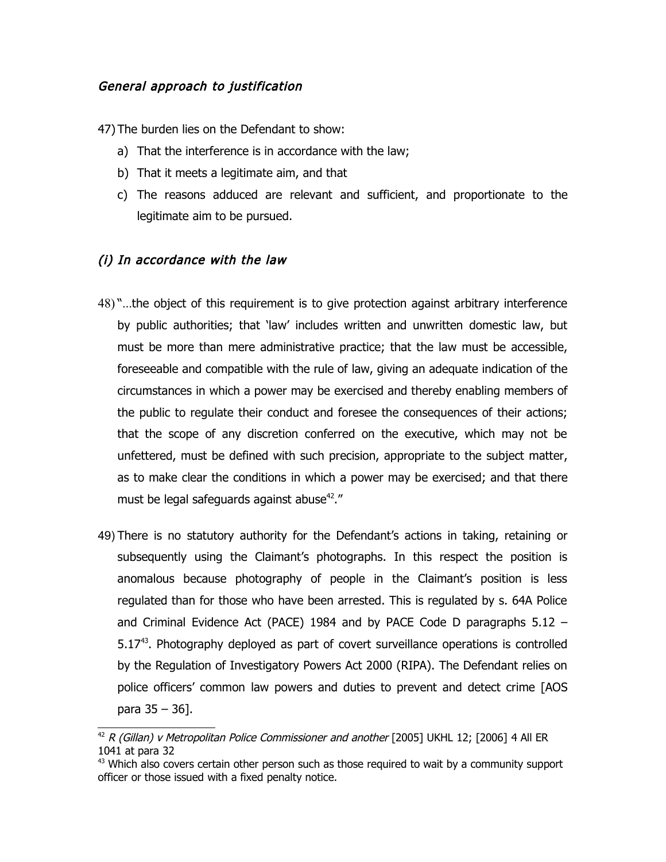## General approach to justification

47) The burden lies on the Defendant to show:

- a) That the interference is in accordance with the law;
- b) That it meets a legitimate aim, and that
- c) The reasons adduced are relevant and sufficient, and proportionate to the legitimate aim to be pursued.

## (i) In accordance with the law

- 48) "…the object of this requirement is to give protection against arbitrary interference by public authorities; that 'law' includes written and unwritten domestic law, but must be more than mere administrative practice; that the law must be accessible, foreseeable and compatible with the rule of law, giving an adequate indication of the circumstances in which a power may be exercised and thereby enabling members of the public to regulate their conduct and foresee the consequences of their actions; that the scope of any discretion conferred on the executive, which may not be unfettered, must be defined with such precision, appropriate to the subject matter, as to make clear the conditions in which a power may be exercised; and that there must be legal safeguards against abuse<sup>[42](#page-16-0)</sup>."
- 49) There is no statutory authority for the Defendant's actions in taking, retaining or subsequently using the Claimant's photographs. In this respect the position is anomalous because photography of people in the Claimant's position is less regulated than for those who have been arrested. This is regulated by s. 64A Police and Criminal Evidence Act (PACE) 1984 and by PACE Code D paragraphs 5.12 –  $5.17<sup>43</sup>$  $5.17<sup>43</sup>$  $5.17<sup>43</sup>$ . Photography deployed as part of covert surveillance operations is controlled by the Regulation of Investigatory Powers Act 2000 (RIPA). The Defendant relies on police officers' common law powers and duties to prevent and detect crime [AOS para 35 – 36].

<span id="page-16-0"></span> $42$  R (Gillan) v Metropolitan Police Commissioner and another [2005] UKHL 12; [2006] 4 All ER 1041 at para 32

<span id="page-16-1"></span> $43$  Which also covers certain other person such as those required to wait by a community support officer or those issued with a fixed penalty notice.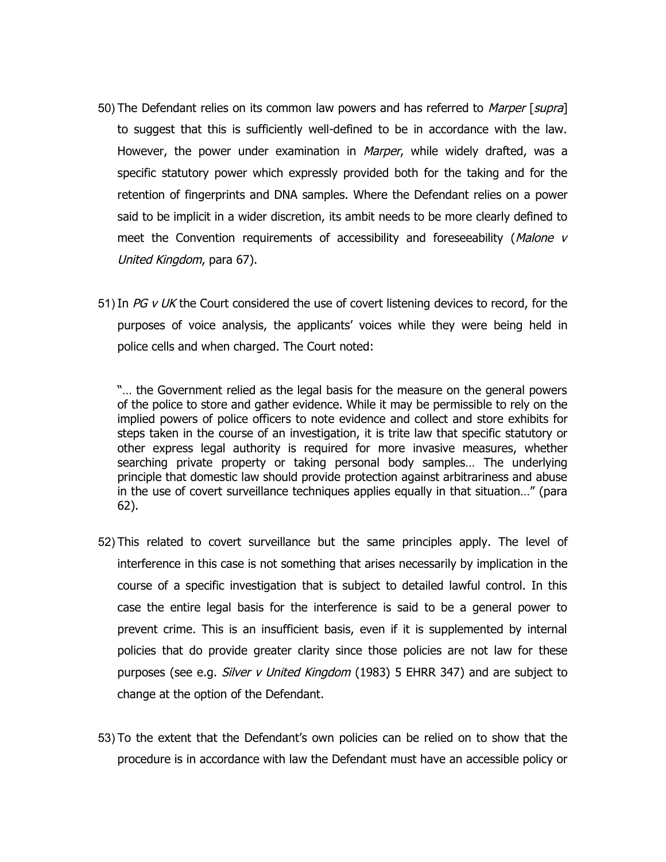- 50) The Defendant relies on its common law powers and has referred to Marper [supra] to suggest that this is sufficiently well-defined to be in accordance with the law. However, the power under examination in *Marper*, while widely drafted, was a specific statutory power which expressly provided both for the taking and for the retention of fingerprints and DNA samples. Where the Defendant relies on a power said to be implicit in a wider discretion, its ambit needs to be more clearly defined to meet the Convention requirements of accessibility and foreseeability (*Malone v* United Kingdom, para 67).
- 51) In PG v UK the Court considered the use of covert listening devices to record, for the purposes of voice analysis, the applicants' voices while they were being held in police cells and when charged. The Court noted:

"… the Government relied as the legal basis for the measure on the general powers of the police to store and gather evidence. While it may be permissible to rely on the implied powers of police officers to note evidence and collect and store exhibits for steps taken in the course of an investigation, it is trite law that specific statutory or other express legal authority is required for more invasive measures, whether searching private property or taking personal body samples… The underlying principle that domestic law should provide protection against arbitrariness and abuse in the use of covert surveillance techniques applies equally in that situation…" (para 62).

- 52) This related to covert surveillance but the same principles apply. The level of interference in this case is not something that arises necessarily by implication in the course of a specific investigation that is subject to detailed lawful control. In this case the entire legal basis for the interference is said to be a general power to prevent crime. This is an insufficient basis, even if it is supplemented by internal policies that do provide greater clarity since those policies are not law for these purposes (see e.g. *Silver v United Kingdom* (1983) 5 EHRR 347) and are subject to change at the option of the Defendant.
- 53) To the extent that the Defendant's own policies can be relied on to show that the procedure is in accordance with law the Defendant must have an accessible policy or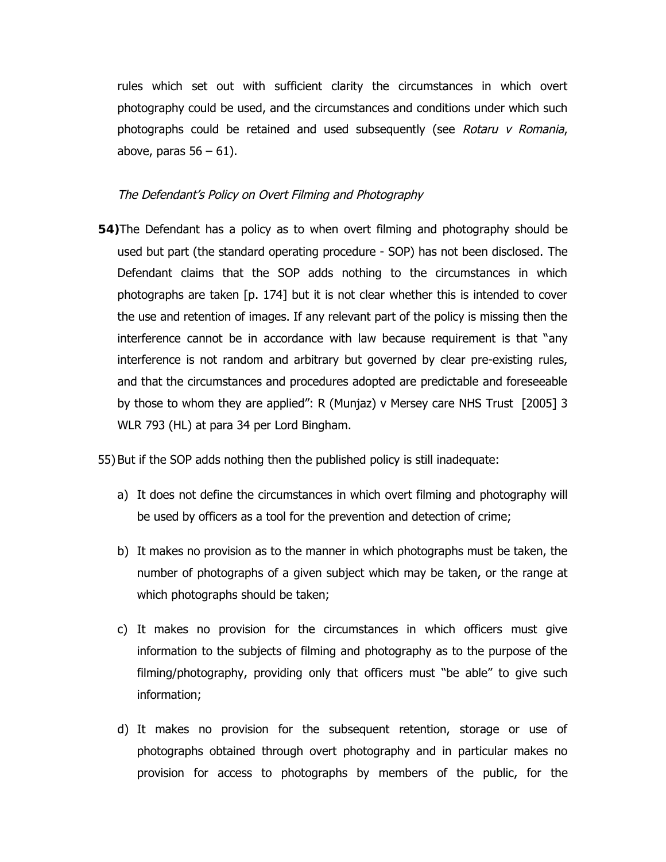rules which set out with sufficient clarity the circumstances in which overt photography could be used, and the circumstances and conditions under which such photographs could be retained and used subsequently (see Rotaru v Romania, above, paras  $56 - 61$ ).

#### The Defendant's Policy on Overt Filming and Photography

**54)**The Defendant has a policy as to when overt filming and photography should be used but part (the standard operating procedure - SOP) has not been disclosed. The Defendant claims that the SOP adds nothing to the circumstances in which photographs are taken [p. 174] but it is not clear whether this is intended to cover the use and retention of images. If any relevant part of the policy is missing then the interference cannot be in accordance with law because requirement is that "any interference is not random and arbitrary but governed by clear pre-existing rules, and that the circumstances and procedures adopted are predictable and foreseeable by those to whom they are applied": R (Munjaz) v Mersey care NHS Trust [2005] 3 WLR 793 (HL) at para 34 per Lord Bingham.

55) But if the SOP adds nothing then the published policy is still inadequate:

- a) It does not define the circumstances in which overt filming and photography will be used by officers as a tool for the prevention and detection of crime;
- b) It makes no provision as to the manner in which photographs must be taken, the number of photographs of a given subject which may be taken, or the range at which photographs should be taken;
- c) It makes no provision for the circumstances in which officers must give information to the subjects of filming and photography as to the purpose of the filming/photography, providing only that officers must "be able" to give such information;
- d) It makes no provision for the subsequent retention, storage or use of photographs obtained through overt photography and in particular makes no provision for access to photographs by members of the public, for the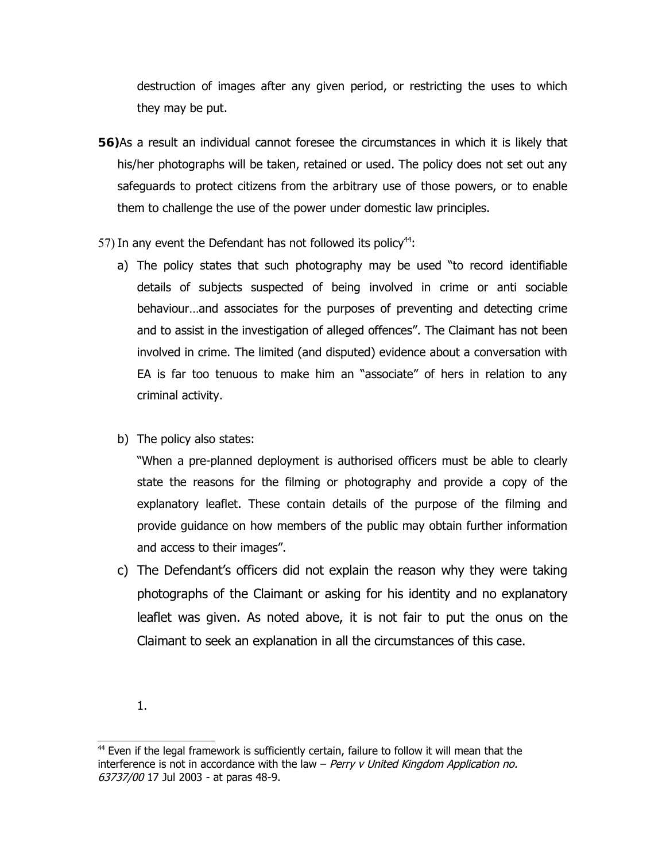destruction of images after any given period, or restricting the uses to which they may be put.

- **56)**As a result an individual cannot foresee the circumstances in which it is likely that his/her photographs will be taken, retained or used. The policy does not set out any safeguards to protect citizens from the arbitrary use of those powers, or to enable them to challenge the use of the power under domestic law principles.
- 57) In any event the Defendant has not followed its policy<sup>[44](#page-19-0)</sup>:
	- a) The policy states that such photography may be used "to record identifiable details of subjects suspected of being involved in crime or anti sociable behaviour…and associates for the purposes of preventing and detecting crime and to assist in the investigation of alleged offences". The Claimant has not been involved in crime. The limited (and disputed) evidence about a conversation with EA is far too tenuous to make him an "associate" of hers in relation to any criminal activity.
	- b) The policy also states:

"When a pre-planned deployment is authorised officers must be able to clearly state the reasons for the filming or photography and provide a copy of the explanatory leaflet. These contain details of the purpose of the filming and provide guidance on how members of the public may obtain further information and access to their images".

- c) The Defendant's officers did not explain the reason why they were taking photographs of the Claimant or asking for his identity and no explanatory leaflet was given. As noted above, it is not fair to put the onus on the Claimant to seek an explanation in all the circumstances of this case.
	- 1.

<span id="page-19-0"></span><sup>&</sup>lt;sup>44</sup> Even if the legal framework is sufficiently certain, failure to follow it will mean that the interference is not in accordance with the law  $-$  Perry v United Kingdom Application no. 63737/00 17 Jul 2003 - at paras 48-9.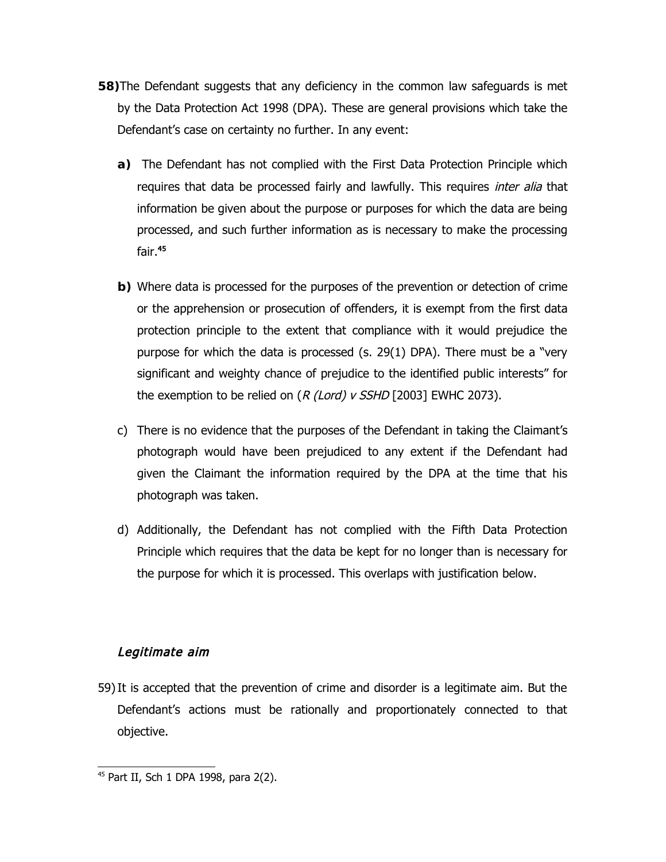- **58)**The Defendant suggests that any deficiency in the common law safeguards is met by the Data Protection Act 1998 (DPA). These are general provisions which take the Defendant's case on certainty no further. In any event:
	- **a)** The Defendant has not complied with the First Data Protection Principle which requires that data be processed fairly and lawfully. This requires *inter alia* that information be given about the purpose or purposes for which the data are being processed, and such further information as is necessary to make the processing fair.[45](#page-20-0)
	- **b)** Where data is processed for the purposes of the prevention or detection of crime or the apprehension or prosecution of offenders, it is exempt from the first data protection principle to the extent that compliance with it would prejudice the purpose for which the data is processed (s. 29(1) DPA). There must be a "very significant and weighty chance of prejudice to the identified public interests" for the exemption to be relied on  $(R (Lord) v SSHD [2003] EWHC 2073)$ .
	- c) There is no evidence that the purposes of the Defendant in taking the Claimant's photograph would have been prejudiced to any extent if the Defendant had given the Claimant the information required by the DPA at the time that his photograph was taken.
	- d) Additionally, the Defendant has not complied with the Fifth Data Protection Principle which requires that the data be kept for no longer than is necessary for the purpose for which it is processed. This overlaps with justification below.

## Legitimate aim

59)It is accepted that the prevention of crime and disorder is a legitimate aim. But the Defendant's actions must be rationally and proportionately connected to that objective.

<span id="page-20-0"></span><sup>45</sup> Part II, Sch 1 DPA 1998, para 2(2).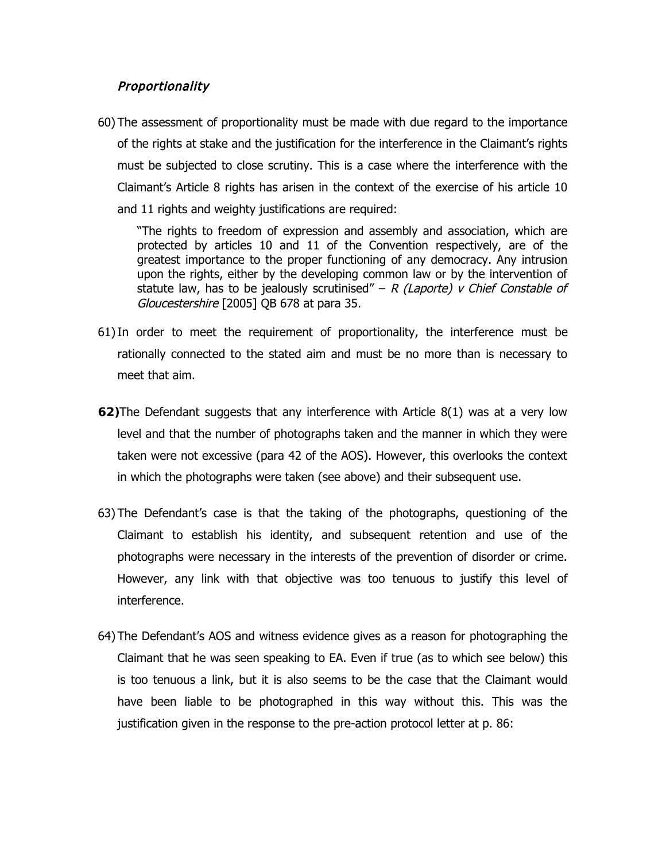#### **Proportionality**

60) The assessment of proportionality must be made with due regard to the importance of the rights at stake and the justification for the interference in the Claimant's rights must be subjected to close scrutiny. This is a case where the interference with the Claimant's Article 8 rights has arisen in the context of the exercise of his article 10 and 11 rights and weighty justifications are required:

"The rights to freedom of expression and assembly and association, which are protected by articles 10 and 11 of the Convention respectively, are of the greatest importance to the proper functioning of any democracy. Any intrusion upon the rights, either by the developing common law or by the intervention of statute law, has to be jealously scrutinised" – R (Laporte) v Chief Constable of Gloucestershire [2005] QB 678 at para 35.

- 61)In order to meet the requirement of proportionality, the interference must be rationally connected to the stated aim and must be no more than is necessary to meet that aim.
- **62)**The Defendant suggests that any interference with Article 8(1) was at a very low level and that the number of photographs taken and the manner in which they were taken were not excessive (para 42 of the AOS). However, this overlooks the context in which the photographs were taken (see above) and their subsequent use.
- 63) The Defendant's case is that the taking of the photographs, questioning of the Claimant to establish his identity, and subsequent retention and use of the photographs were necessary in the interests of the prevention of disorder or crime. However, any link with that objective was too tenuous to justify this level of interference.
- 64) The Defendant's AOS and witness evidence gives as a reason for photographing the Claimant that he was seen speaking to EA. Even if true (as to which see below) this is too tenuous a link, but it is also seems to be the case that the Claimant would have been liable to be photographed in this way without this. This was the justification given in the response to the pre-action protocol letter at p. 86: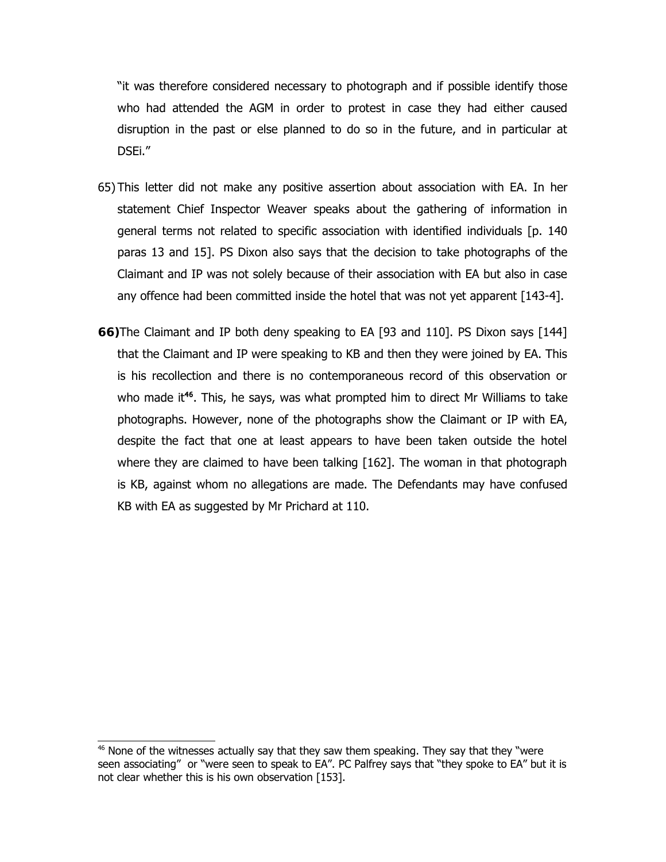"it was therefore considered necessary to photograph and if possible identify those who had attended the AGM in order to protest in case they had either caused disruption in the past or else planned to do so in the future, and in particular at DSEi."

- 65) This letter did not make any positive assertion about association with EA. In her statement Chief Inspector Weaver speaks about the gathering of information in general terms not related to specific association with identified individuals [p. 140 paras 13 and 15]. PS Dixon also says that the decision to take photographs of the Claimant and IP was not solely because of their association with EA but also in case any offence had been committed inside the hotel that was not yet apparent [143-4].
- **66)**The Claimant and IP both deny speaking to EA [93 and 110]. PS Dixon says [144] that the Claimant and IP were speaking to KB and then they were joined by EA. This is his recollection and there is no contemporaneous record of this observation or who made it<sup>[46](#page-22-0)</sup>. This, he says, was what prompted him to direct Mr Williams to take photographs. However, none of the photographs show the Claimant or IP with EA, despite the fact that one at least appears to have been taken outside the hotel where they are claimed to have been talking [162]. The woman in that photograph is KB, against whom no allegations are made. The Defendants may have confused KB with EA as suggested by Mr Prichard at 110.

<span id="page-22-0"></span><sup>&</sup>lt;sup>46</sup> None of the witnesses actually say that they saw them speaking. They say that they "were seen associating" or "were seen to speak to EA". PC Palfrey says that "they spoke to EA" but it is not clear whether this is his own observation [153].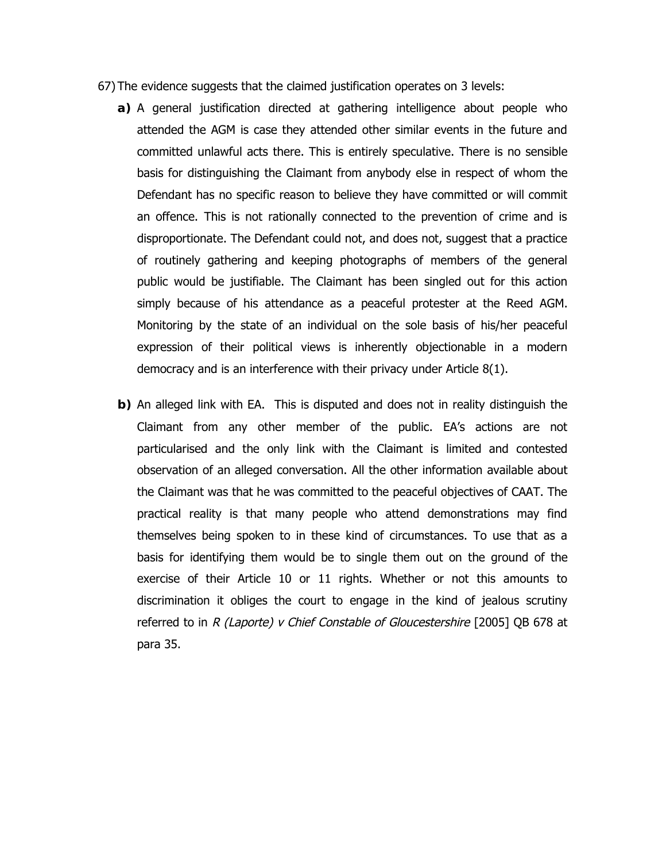- 67) The evidence suggests that the claimed justification operates on 3 levels:
	- **a)** A general justification directed at gathering intelligence about people who attended the AGM is case they attended other similar events in the future and committed unlawful acts there. This is entirely speculative. There is no sensible basis for distinguishing the Claimant from anybody else in respect of whom the Defendant has no specific reason to believe they have committed or will commit an offence. This is not rationally connected to the prevention of crime and is disproportionate. The Defendant could not, and does not, suggest that a practice of routinely gathering and keeping photographs of members of the general public would be justifiable. The Claimant has been singled out for this action simply because of his attendance as a peaceful protester at the Reed AGM. Monitoring by the state of an individual on the sole basis of his/her peaceful expression of their political views is inherently objectionable in a modern democracy and is an interference with their privacy under Article 8(1).
	- **b**) An alleged link with EA. This is disputed and does not in reality distinguish the Claimant from any other member of the public. EA's actions are not particularised and the only link with the Claimant is limited and contested observation of an alleged conversation. All the other information available about the Claimant was that he was committed to the peaceful objectives of CAAT. The practical reality is that many people who attend demonstrations may find themselves being spoken to in these kind of circumstances. To use that as a basis for identifying them would be to single them out on the ground of the exercise of their Article 10 or 11 rights. Whether or not this amounts to discrimination it obliges the court to engage in the kind of jealous scrutiny referred to in R (Laporte) v Chief Constable of Gloucestershire [2005] QB 678 at para 35.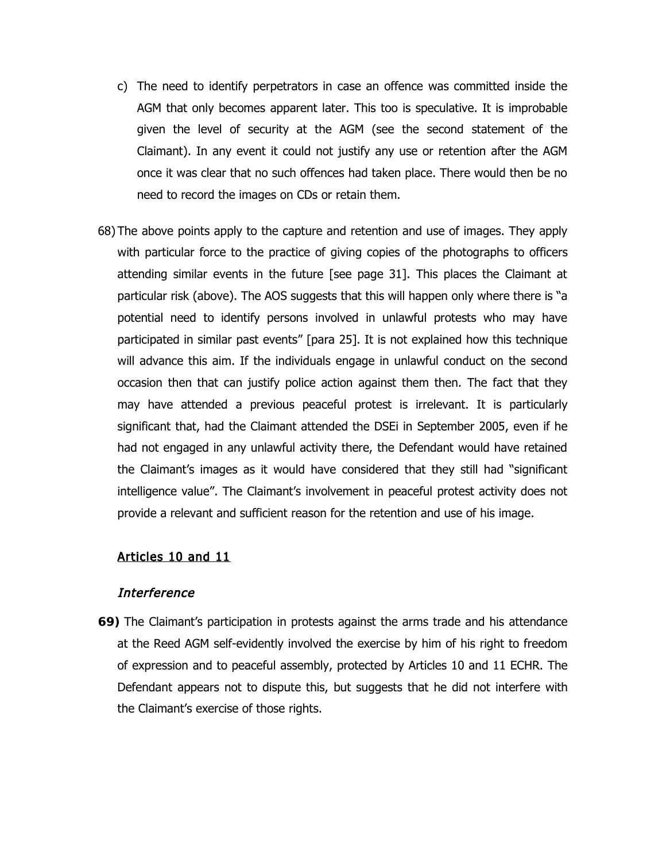- c) The need to identify perpetrators in case an offence was committed inside the AGM that only becomes apparent later. This too is speculative. It is improbable given the level of security at the AGM (see the second statement of the Claimant). In any event it could not justify any use or retention after the AGM once it was clear that no such offences had taken place. There would then be no need to record the images on CDs or retain them.
- 68) The above points apply to the capture and retention and use of images. They apply with particular force to the practice of giving copies of the photographs to officers attending similar events in the future [see page 31]. This places the Claimant at particular risk (above). The AOS suggests that this will happen only where there is "a potential need to identify persons involved in unlawful protests who may have participated in similar past events" [para 25]. It is not explained how this technique will advance this aim. If the individuals engage in unlawful conduct on the second occasion then that can justify police action against them then. The fact that they may have attended a previous peaceful protest is irrelevant. It is particularly significant that, had the Claimant attended the DSEi in September 2005, even if he had not engaged in any unlawful activity there, the Defendant would have retained the Claimant's images as it would have considered that they still had "significant intelligence value". The Claimant's involvement in peaceful protest activity does not provide a relevant and sufficient reason for the retention and use of his image.

## Articles 10 and 11

#### **Interference**

**69)** The Claimant's participation in protests against the arms trade and his attendance at the Reed AGM self-evidently involved the exercise by him of his right to freedom of expression and to peaceful assembly, protected by Articles 10 and 11 ECHR. The Defendant appears not to dispute this, but suggests that he did not interfere with the Claimant's exercise of those rights.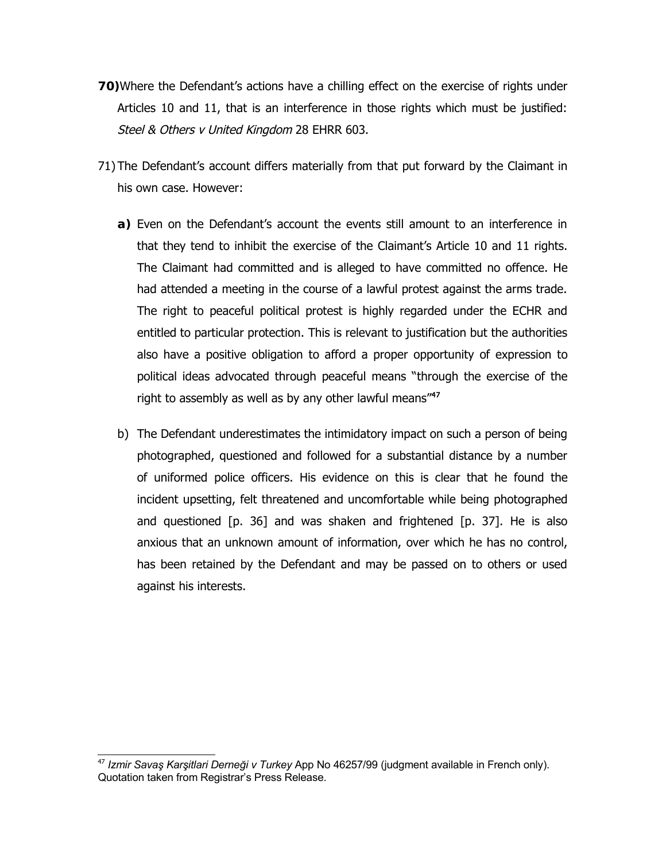- **70)**Where the Defendant's actions have a chilling effect on the exercise of rights under Articles 10 and 11, that is an interference in those rights which must be justified: Steel & Others v United Kingdom 28 EHRR 603.
- 71) The Defendant's account differs materially from that put forward by the Claimant in his own case. However:
	- **a)** Even on the Defendant's account the events still amount to an interference in that they tend to inhibit the exercise of the Claimant's Article 10 and 11 rights. The Claimant had committed and is alleged to have committed no offence. He had attended a meeting in the course of a lawful protest against the arms trade. The right to peaceful political protest is highly regarded under the ECHR and entitled to particular protection. This is relevant to justification but the authorities also have a positive obligation to afford a proper opportunity of expression to political ideas advocated through peaceful means "through the exercise of the right to assembly as well as by any other lawful means"<sup>[47](#page-25-0)</sup>
	- b) The Defendant underestimates the intimidatory impact on such a person of being photographed, questioned and followed for a substantial distance by a number of uniformed police officers. His evidence on this is clear that he found the incident upsetting, felt threatened and uncomfortable while being photographed and questioned [p. 36] and was shaken and frightened [p. 37]. He is also anxious that an unknown amount of information, over which he has no control, has been retained by the Defendant and may be passed on to others or used against his interests.

<span id="page-25-0"></span><sup>47</sup> *Izmir Savaş Karşitlari Derneği v Turkey* App No 46257/99 (judgment available in French only). Quotation taken from Registrar's Press Release.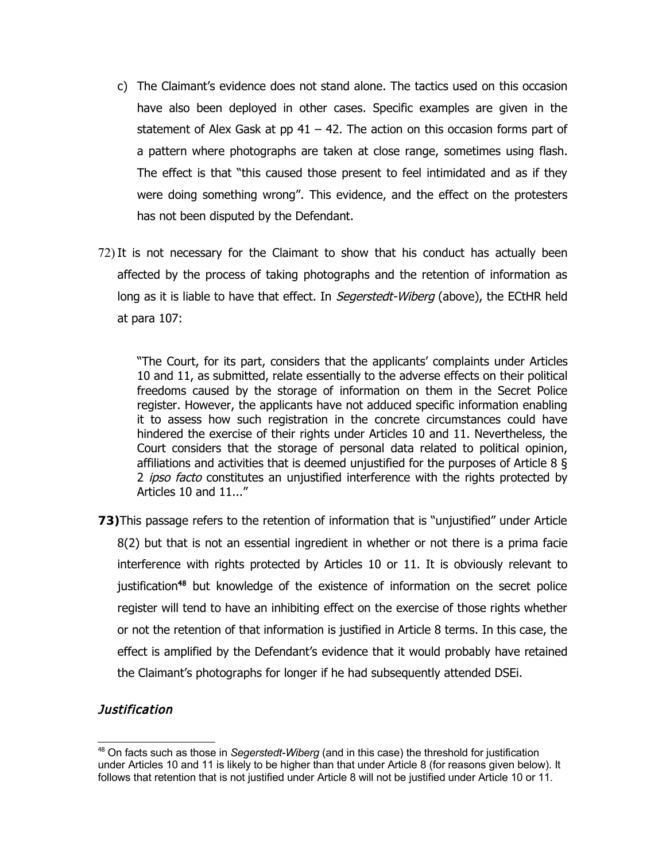- c) The Claimant's evidence does not stand alone. The tactics used on this occasion have also been deployed in other cases. Specific examples are given in the statement of Alex Gask at  $pp 41 - 42$ . The action on this occasion forms part of a pattern where photographs are taken at close range, sometimes using flash. The effect is that "this caused those present to feel intimidated and as if they were doing something wrong". This evidence, and the effect on the protesters has not been disputed by the Defendant.
- 72) It is not necessary for the Claimant to show that his conduct has actually been affected by the process of taking photographs and the retention of information as long as it is liable to have that effect. In *Segerstedt-Wiberg* (above), the ECtHR held at para 107:

"The Court, for its part, considers that the applicants' complaints under Articles 10 and 11, as submitted, relate essentially to the adverse effects on their political freedoms caused by the storage of information on them in the Secret Police register. However, the applicants have not adduced specific information enabling it to assess how such registration in the concrete circumstances could have hindered the exercise of their rights under Articles 10 and 11. Nevertheless, the Court considers that the storage of personal data related to political opinion, affiliations and activities that is deemed unjustified for the purposes of Article 8 § 2 *ipso facto* constitutes an unjustified interference with the rights protected by Articles 10 and 11..."

**73)**This passage refers to the retention of information that is "unjustified" under Article 8(2) but that is not an essential ingredient in whether or not there is a prima facie interference with rights protected by Articles 10 or 11. It is obviously relevant to justification<sup>[48](#page-26-0)</sup> but knowledge of the existence of information on the secret police register will tend to have an inhibiting effect on the exercise of those rights whether or not the retention of that information is justified in Article 8 terms. In this case, the effect is amplified by the Defendant's evidence that it would probably have retained the Claimant's photographs for longer if he had subsequently attended DSEi.

## Justification

<span id="page-26-0"></span><sup>48</sup> On facts such as those in *Segerstedt-Wiberg* (and in this case) the threshold for justification under Articles 10 and 11 is likely to be higher than that under Article 8 (for reasons given below). It follows that retention that is not justified under Article 8 will not be justified under Article 10 or 11.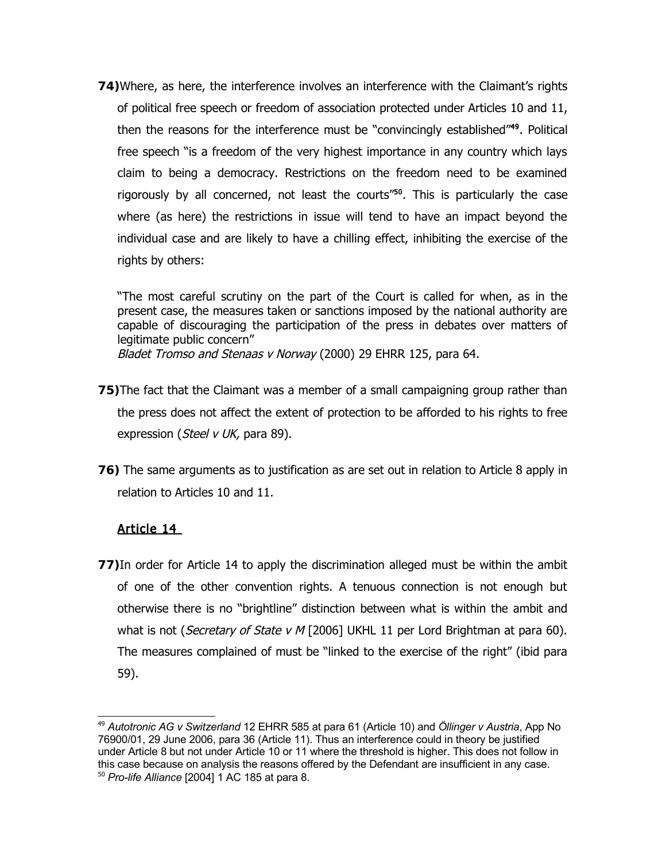**74)**Where, as here, the interference involves an interference with the Claimant's rights of political free speech or freedom of association protected under Articles 10 and 11, then the reasons for the interference must be "convincingly established"[49](#page-27-0). Political free speech "is a freedom of the very highest importance in any country which lays claim to being a democracy. Restrictions on the freedom need to be examined rigorously by all concerned, not least the courts<sup>"[50](#page-27-1)</sup>. This is particularly the case where (as here) the restrictions in issue will tend to have an impact beyond the individual case and are likely to have a chilling effect, inhibiting the exercise of the rights by others:

"The most careful scrutiny on the part of the Court is called for when, as in the present case, the measures taken or sanctions imposed by the national authority are capable of discouraging the participation of the press in debates over matters of legitimate public concern" Bladet Tromso and Stenaas v Norway (2000) 29 EHRR 125, para 64.

- **75)**The fact that the Claimant was a member of a small campaigning group rather than the press does not affect the extent of protection to be afforded to his rights to free expression (Steel v UK, para 89).
- **76)** The same arguments as to justification as are set out in relation to Article 8 apply in relation to Articles 10 and 11.

## Article 14

**77)**In order for Article 14 to apply the discrimination alleged must be within the ambit of one of the other convention rights. A tenuous connection is not enough but otherwise there is no "brightline" distinction between what is within the ambit and what is not (*Secretary of State v M* [2006] UKHL 11 per Lord Brightman at para 60). The measures complained of must be "linked to the exercise of the right" (ibid para 59).

<span id="page-27-1"></span><span id="page-27-0"></span><sup>49</sup> *Autotronic AG v Switzerland* 12 EHRR 585 at para 61 (Article 10) and *Öllinger v Austria*, App No 76900/01, 29 June 2006, para 36 (Article 11). Thus an interference could in theory be justified under Article 8 but not under Article 10 or 11 where the threshold is higher. This does not follow in this case because on analysis the reasons offered by the Defendant are insufficient in any case. <sup>50</sup> *Pro-life Alliance* [2004] 1 AC 185 at para 8.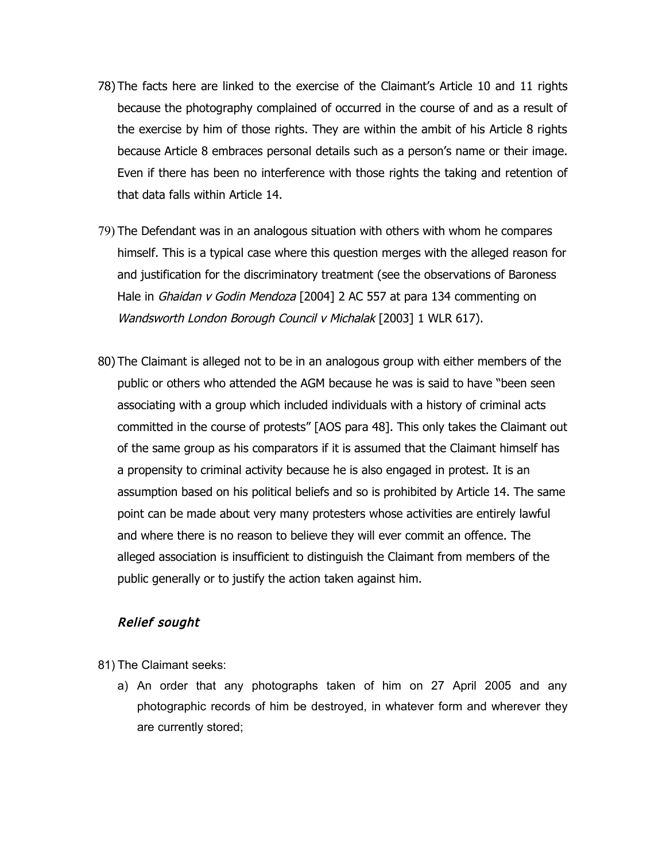- 78) The facts here are linked to the exercise of the Claimant's Article 10 and 11 rights because the photography complained of occurred in the course of and as a result of the exercise by him of those rights. They are within the ambit of his Article 8 rights because Article 8 embraces personal details such as a person's name or their image. Even if there has been no interference with those rights the taking and retention of that data falls within Article 14.
- 79) The Defendant was in an analogous situation with others with whom he compares himself. This is a typical case where this question merges with the alleged reason for and justification for the discriminatory treatment (see the observations of Baroness Hale in *Ghaidan v Godin Mendoza* [2004] 2 AC 557 at para 134 commenting on Wandsworth London Borough Council v Michalak [2003] 1 WLR 617).
- 80) The Claimant is alleged not to be in an analogous group with either members of the public or others who attended the AGM because he was is said to have "been seen associating with a group which included individuals with a history of criminal acts committed in the course of protests" [AOS para 48]. This only takes the Claimant out of the same group as his comparators if it is assumed that the Claimant himself has a propensity to criminal activity because he is also engaged in protest. It is an assumption based on his political beliefs and so is prohibited by Article 14. The same point can be made about very many protesters whose activities are entirely lawful and where there is no reason to believe they will ever commit an offence. The alleged association is insufficient to distinguish the Claimant from members of the public generally or to justify the action taken against him.

## Relief sought

81) The Claimant seeks:

a) An order that any photographs taken of him on 27 April 2005 and any photographic records of him be destroyed, in whatever form and wherever they are currently stored;